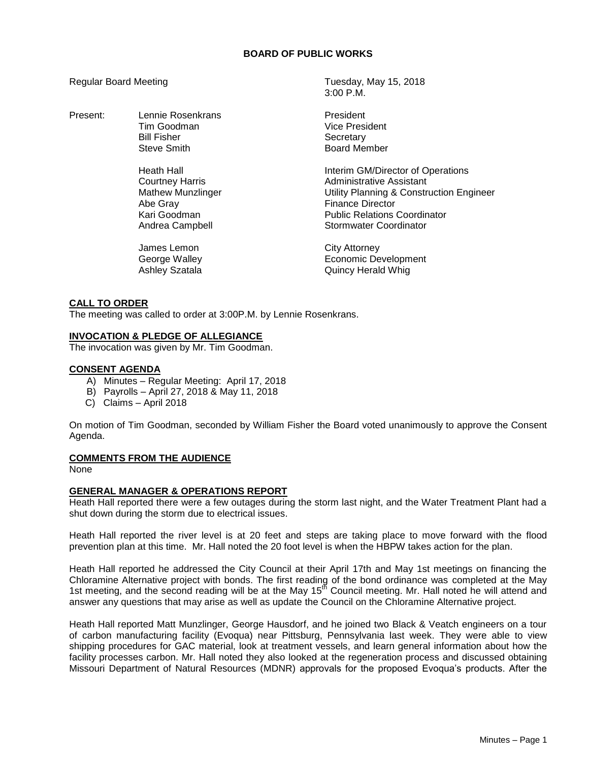## **BOARD OF PUBLIC WORKS**

 $3.00 \text{ P} \text{M}$ 

Regular Board Meeting Tuesday, May 15, 2018

Present: Lennie Rosenkrans President Tim Goodman Vice President Bill Fisher North Secretary<br>Steve Smith Steve Steve Steve Steve Steve Steve Steve Steve Steve Steve Steve Steve Steve Steve Steve Steve Board Member Heath Hall **Interim GM/Director of Operations** Courtney Harris **Administrative Assistant** Mathew Munzlinger Utility Planning & Construction Engineer Abe Gray **Finance Director** Kari Goodman **Public Relations Coordinator** Andrea Campbell **Stormwater Coordinator** James Lemon **City Attorney** George Walley **Economic Development** Ashley Szatala **Ashley Szatala** Quincy Herald Whig

#### **CALL TO ORDER**

The meeting was called to order at 3:00P.M. by Lennie Rosenkrans.

### **INVOCATION & PLEDGE OF ALLEGIANCE**

The invocation was given by Mr. Tim Goodman.

#### **CONSENT AGENDA**

- A) Minutes Regular Meeting: April 17, 2018
- B) Payrolls April 27, 2018 & May 11, 2018
- C) Claims April 2018

On motion of Tim Goodman, seconded by William Fisher the Board voted unanimously to approve the Consent Agenda.

#### **COMMENTS FROM THE AUDIENCE**

None

#### **GENERAL MANAGER & OPERATIONS REPORT**

Heath Hall reported there were a few outages during the storm last night, and the Water Treatment Plant had a shut down during the storm due to electrical issues.

Heath Hall reported the river level is at 20 feet and steps are taking place to move forward with the flood prevention plan at this time. Mr. Hall noted the 20 foot level is when the HBPW takes action for the plan.

Heath Hall reported he addressed the City Council at their April 17th and May 1st meetings on financing the Chloramine Alternative project with bonds. The first reading of the bond ordinance was completed at the May 1st meeting, and the second reading will be at the May 15<sup>th</sup> Council meeting. Mr. Hall noted he will attend and answer any questions that may arise as well as update the Council on the Chloramine Alternative project.

Heath Hall reported Matt Munzlinger, George Hausdorf, and he joined two Black & Veatch engineers on a tour of carbon manufacturing facility (Evoqua) near Pittsburg, Pennsylvania last week. They were able to view shipping procedures for GAC material, look at treatment vessels, and learn general information about how the facility processes carbon. Mr. Hall noted they also looked at the regeneration process and discussed obtaining Missouri Department of Natural Resources (MDNR) approvals for the proposed Evoqua's products. After the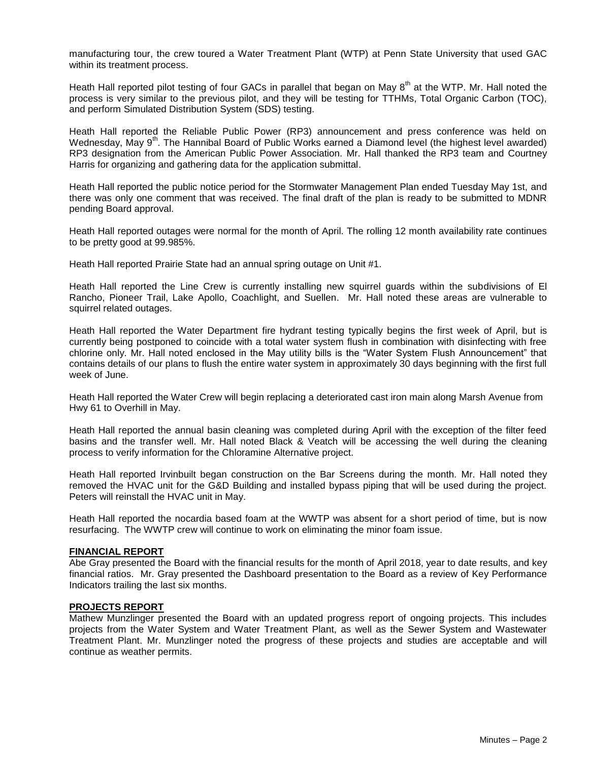manufacturing tour, the crew toured a Water Treatment Plant (WTP) at Penn State University that used GAC within its treatment process.

Heath Hall reported pilot testing of four GACs in parallel that began on May  $8<sup>th</sup>$  at the WTP. Mr. Hall noted the process is very similar to the previous pilot, and they will be testing for TTHMs, Total Organic Carbon (TOC), and perform Simulated Distribution System (SDS) testing.

Heath Hall reported the Reliable Public Power (RP3) announcement and press conference was held on Wednesday, May 9<sup>th</sup>. The Hannibal Board of Public Works earned a Diamond level (the highest level awarded) RP3 designation from the American Public Power Association. Mr. Hall thanked the RP3 team and Courtney Harris for organizing and gathering data for the application submittal.

Heath Hall reported the public notice period for the Stormwater Management Plan ended Tuesday May 1st, and there was only one comment that was received. The final draft of the plan is ready to be submitted to MDNR pending Board approval.

Heath Hall reported outages were normal for the month of April. The rolling 12 month availability rate continues to be pretty good at 99.985%.

Heath Hall reported Prairie State had an annual spring outage on Unit #1.

Heath Hall reported the Line Crew is currently installing new squirrel guards within the subdivisions of El Rancho, Pioneer Trail, Lake Apollo, Coachlight, and Suellen. Mr. Hall noted these areas are vulnerable to squirrel related outages.

Heath Hall reported the Water Department fire hydrant testing typically begins the first week of April, but is currently being postponed to coincide with a total water system flush in combination with disinfecting with free chlorine only. Mr. Hall noted enclosed in the May utility bills is the "Water System Flush Announcement" that contains details of our plans to flush the entire water system in approximately 30 days beginning with the first full week of June.

Heath Hall reported the Water Crew will begin replacing a deteriorated cast iron main along Marsh Avenue from Hwy 61 to Overhill in May.

Heath Hall reported the annual basin cleaning was completed during April with the exception of the filter feed basins and the transfer well. Mr. Hall noted Black & Veatch will be accessing the well during the cleaning process to verify information for the Chloramine Alternative project.

Heath Hall reported Irvinbuilt began construction on the Bar Screens during the month. Mr. Hall noted they removed the HVAC unit for the G&D Building and installed bypass piping that will be used during the project. Peters will reinstall the HVAC unit in May.

Heath Hall reported the nocardia based foam at the WWTP was absent for a short period of time, but is now resurfacing. The WWTP crew will continue to work on eliminating the minor foam issue.

#### **FINANCIAL REPORT**

Abe Gray presented the Board with the financial results for the month of April 2018, year to date results, and key financial ratios. Mr. Gray presented the Dashboard presentation to the Board as a review of Key Performance Indicators trailing the last six months.

#### **PROJECTS REPORT**

Mathew Munzlinger presented the Board with an updated progress report of ongoing projects. This includes projects from the Water System and Water Treatment Plant, as well as the Sewer System and Wastewater Treatment Plant. Mr. Munzlinger noted the progress of these projects and studies are acceptable and will continue as weather permits.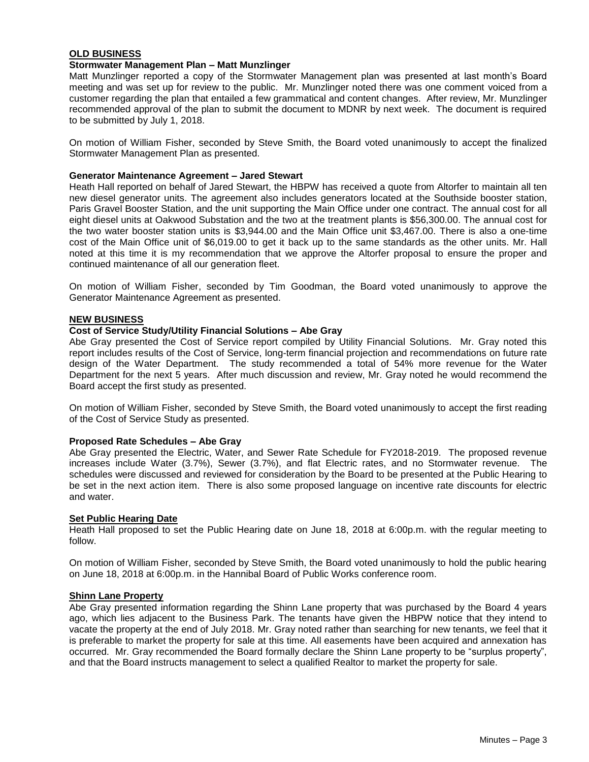## **OLD BUSINESS**

# **Stormwater Management Plan – Matt Munzlinger**

Matt Munzlinger reported a copy of the Stormwater Management plan was presented at last month's Board meeting and was set up for review to the public. Mr. Munzlinger noted there was one comment voiced from a customer regarding the plan that entailed a few grammatical and content changes. After review, Mr. Munzlinger recommended approval of the plan to submit the document to MDNR by next week. The document is required to be submitted by July 1, 2018.

On motion of William Fisher, seconded by Steve Smith, the Board voted unanimously to accept the finalized Stormwater Management Plan as presented.

#### **Generator Maintenance Agreement – Jared Stewart**

Heath Hall reported on behalf of Jared Stewart, the HBPW has received a quote from Altorfer to maintain all ten new diesel generator units. The agreement also includes generators located at the Southside booster station, Paris Gravel Booster Station, and the unit supporting the Main Office under one contract. The annual cost for all eight diesel units at Oakwood Substation and the two at the treatment plants is \$56,300.00. The annual cost for the two water booster station units is \$3,944.00 and the Main Office unit \$3,467.00. There is also a one-time cost of the Main Office unit of \$6,019.00 to get it back up to the same standards as the other units. Mr. Hall noted at this time it is my recommendation that we approve the Altorfer proposal to ensure the proper and continued maintenance of all our generation fleet.

On motion of William Fisher, seconded by Tim Goodman, the Board voted unanimously to approve the Generator Maintenance Agreement as presented.

#### **NEW BUSINESS**

### **Cost of Service Study/Utility Financial Solutions – Abe Gray**

Abe Gray presented the Cost of Service report compiled by Utility Financial Solutions. Mr. Gray noted this report includes results of the Cost of Service, long-term financial projection and recommendations on future rate design of the Water Department. The study recommended a total of 54% more revenue for the Water Department for the next 5 years. After much discussion and review, Mr. Gray noted he would recommend the Board accept the first study as presented.

On motion of William Fisher, seconded by Steve Smith, the Board voted unanimously to accept the first reading of the Cost of Service Study as presented.

#### **Proposed Rate Schedules – Abe Gray**

Abe Gray presented the Electric, Water, and Sewer Rate Schedule for FY2018-2019. The proposed revenue increases include Water (3.7%), Sewer (3.7%), and flat Electric rates, and no Stormwater revenue. The schedules were discussed and reviewed for consideration by the Board to be presented at the Public Hearing to be set in the next action item. There is also some proposed language on incentive rate discounts for electric and water.

# **Set Public Hearing Date**

Heath Hall proposed to set the Public Hearing date on June 18, 2018 at 6:00p.m. with the regular meeting to follow.

On motion of William Fisher, seconded by Steve Smith, the Board voted unanimously to hold the public hearing on June 18, 2018 at 6:00p.m. in the Hannibal Board of Public Works conference room.

#### **Shinn Lane Property**

Abe Gray presented information regarding the Shinn Lane property that was purchased by the Board 4 years ago, which lies adjacent to the Business Park. The tenants have given the HBPW notice that they intend to vacate the property at the end of July 2018. Mr. Gray noted rather than searching for new tenants, we feel that it is preferable to market the property for sale at this time. All easements have been acquired and annexation has occurred. Mr. Gray recommended the Board formally declare the Shinn Lane property to be "surplus property", and that the Board instructs management to select a qualified Realtor to market the property for sale.